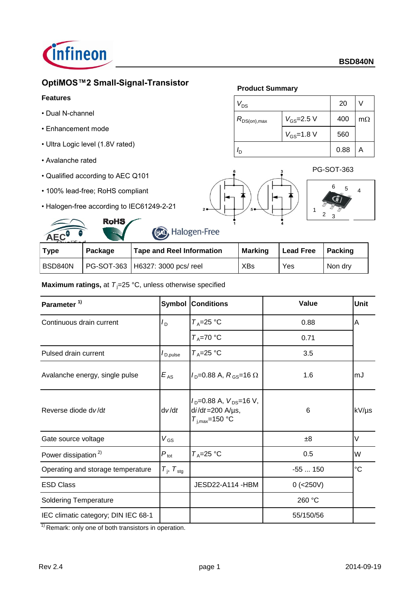

# **OptiMOS™2 Small-Signal-Transistor**

## **Features**

- Dual N-channel
- Enhancement mode
- Ultra Logic level (1.8V rated)
- Avalanche rated
- Qualified according to AEC Q101
- 100% lead-free; RoHS compliant
- Halogen-free according to IEC61249-2-21

**RoHS** 

## **Product Summary**







| AEC         |         | $\sim$<br>$\overline{\phantom{0}}$ |                |                  |         |
|-------------|---------|------------------------------------|----------------|------------------|---------|
| <b>Type</b> | Package | <b>Tape and Reel Information</b>   | <b>Marking</b> | <b>Lead Free</b> | Packing |
| I BSD840N   |         | PG-SOT-363   H6327: 3000 pcs/ reel | <b>XBs</b>     | Yes              | Non dry |

## **Maximum ratings, at**  $T_i = 25 \text{ °C}$ **, unless otherwise specified**

| Parameter <sup>1)</sup>             | Symbol                      | <b>Conditions</b>                                                                    | Value       | <b>Unit</b> |
|-------------------------------------|-----------------------------|--------------------------------------------------------------------------------------|-------------|-------------|
| Continuous drain current            | $I_{\text{D}}$              | $T_A = 25$ °C                                                                        | 0.88        | A           |
|                                     |                             | $T_A = 70 °C$                                                                        | 0.71        |             |
| Pulsed drain current                | $I_{\text{D,pulse}}$        | $T_A = 25$ °C                                                                        | 3.5         |             |
| Avalanche energy, single pulse      | $E_{AS}$                    | $I_{\text{D}} = 0.88 \text{ A}, R_{\text{GS}} = 16 \Omega$                           | 1.6         | mJ          |
| Reverse diode dv/dt                 | dv/dt                       | $I_D = 0.88$ A, $V_{DS} = 16$ V,<br>$di/dt = 200$ A/ $\mu$ s,<br>$T_{i,max}$ =150 °C | 6           | kV/µs       |
| Gate source voltage                 | $V_{GS}$                    |                                                                                      | ±8          | V           |
| Power dissipation <sup>2)</sup>     | $P_{\rm tot}$               | $T_A = 25$ °C                                                                        | 0.5         | W           |
| Operating and storage temperature   | $T_{\rm j}$ , $T_{\rm stg}$ |                                                                                      | $-55150$    | $^{\circ}C$ |
| <b>ESD Class</b>                    |                             | JESD22-A114 - HBM                                                                    | $0$ (<250V) |             |
| <b>Soldering Temperature</b>        |                             |                                                                                      | 260 °C      |             |
| IEC climatic category; DIN IEC 68-1 |                             |                                                                                      | 55/150/56   |             |

 $1)$  Remark: only one of both transistors in operation.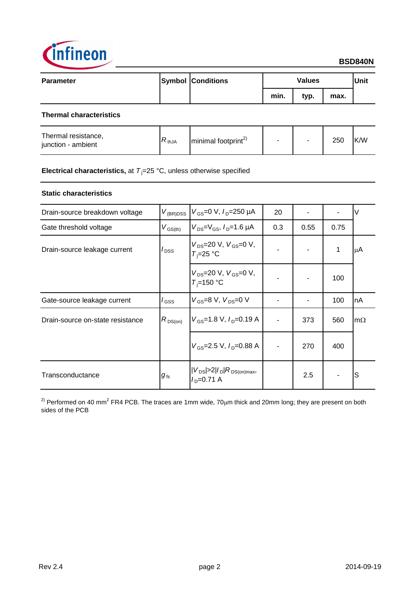

| <b>Parameter</b>               | <b>Symbol Conditions</b> |      | <b>Values</b> |      | <b>Unit</b> |
|--------------------------------|--------------------------|------|---------------|------|-------------|
|                                |                          | min. | typ.          | max. |             |
| <b>Thermal characteristics</b> |                          |      |               |      |             |

| Thermal resistance,<br>junction - ambient | $\nabla$ thJA | $\text{minimal footprint}^{\text{2}}$ |  | 250 | K/W |
|-------------------------------------------|---------------|---------------------------------------|--|-----|-----|
|                                           |               |                                       |  |     |     |

# **Electrical characteristics,** at  $T_j = 25 \text{ °C}$ , unless otherwise specified

## **Static characteristics**

| Drain-source breakdown voltage   | $V_{(BR)DSS}$                      | $V_{GS}$ =0 V, $I_{D}$ =250 µA                   | 20  |      |      | V         |
|----------------------------------|------------------------------------|--------------------------------------------------|-----|------|------|-----------|
| Gate threshold voltage           | $V_{\text{GS(th)}}$                | $V_{DS} = V_{GS}$ , $I_{D} = 1.6 \mu A$          | 0.3 | 0.55 | 0.75 |           |
| Drain-source leakage current     | $I_{\text{DSS}}$                   | $V_{DS}$ =20 V, $V_{GS}$ =0 V,<br>$T_i = 25$ °C  |     |      | 1    | μA        |
|                                  |                                    | $V_{DS}$ =20 V, $V_{GS}$ =0 V,<br>$T_i = 150$ °C |     |      | 100  |           |
| Gate-source leakage current      | / <sub>GSS</sub>                   | $V_{GS}$ =8 V, $V_{DS}$ =0 V                     |     |      | 100  | nA        |
| Drain-source on-state resistance | $R_{DS(on)}$                       | $V_{\text{GS}}$ =1.8 V, $I_{\text{D}}$ =0.19 A   |     | 373  | 560  | $m\Omega$ |
|                                  |                                    | $V_{GS}$ =2.5 V, $I_{D}$ =0.88 A                 |     | 270  | 400  |           |
| Transconductance                 | $g_{\scriptscriptstyle \text{fs}}$ | $ V_{DS}  > 2 I_D R_{DS(on)max}$<br>$ID=0.71 A$  |     | 2.5  |      | S         |

<sup>2)</sup> Performed on 40 mm<sup>2</sup> FR4 PCB. The traces are 1mm wide, 70μm thick and 20mm long; they are present on both sides of the PCB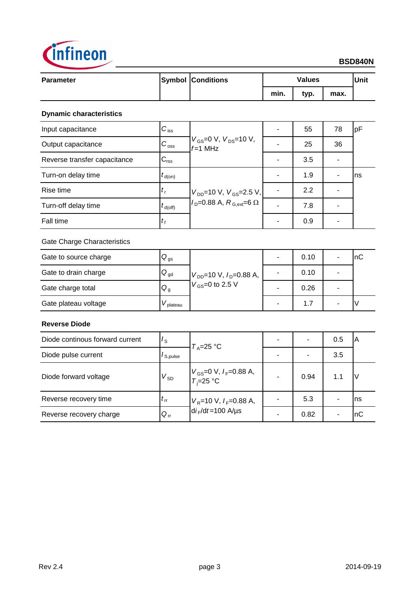

# **BSD840N**

| <b>Parameter</b> | <b>Symbol Conditions</b> |      | <b>Values</b> |      |  |
|------------------|--------------------------|------|---------------|------|--|
|                  |                          | min. | typ.          | max. |  |

## **Dynamic characteristics**

| Input capacitance            | $C_{\text{iss}}$          |                                                                      | 55  | 78 | pF  |
|------------------------------|---------------------------|----------------------------------------------------------------------|-----|----|-----|
| Output capacitance           | $C_{\rm oss}$             | $V_{\rm GS} = 0 \, V, V_{\rm DS} = 10 \, V,$<br>$f=1$ MHz            | 25  | 36 |     |
| Reverse transfer capacitance | $C_{\text{rss}}$          |                                                                      | 3.5 |    |     |
| Turn-on delay time           | $t_{\text{d}(on)}$        | $V_{DD}$ =10 V, $V_{GS}$ =2.5 V,<br>$ID=0.88$ A, $RG.ext=6$ $\Omega$ | 1.9 |    | Ins |
| Rise time                    | $\mathbf{r}_{\mathsf{r}}$ |                                                                      | 2.2 |    |     |
| Turn-off delay time          | $t_{\text{d(off)}}$       |                                                                      | 7.8 |    |     |
| Fall time                    | $\iota_{\mathsf{f}}$      |                                                                      | 0.9 |    |     |

## Gate Charge Characteristics

| Gate to source charge | $Q_{\text{gs}}$ |                                | 0.10 |   | InC |
|-----------------------|-----------------|--------------------------------|------|---|-----|
| Gate to drain charge  | $Q_{gd}$        | $V_{DD}$ =10 V, $I_D$ =0.88 A, | 0.10 |   |     |
| Gate charge total     | $Q_g$           | $V_{GS}$ =0 to 2.5 V           | 0.26 | - |     |
| Gate plateau voltage  | plateau         |                                | 1.7  |   |     |

## **Reverse Diode**

| Diode continous forward current | $I_{\rm S}$          | $T_A = 25$ °C                                 |                          | 0.5 | IΑ  |
|---------------------------------|----------------------|-----------------------------------------------|--------------------------|-----|-----|
| Diode pulse current             | I <sub>S,pulse</sub> |                                               | $\overline{\phantom{0}}$ | 3.5 |     |
| Diode forward voltage           | $V_{SD}$             | $V_{GS}$ =0 V, $I_F$ =0.88 A,<br>$T_i$ =25 °C | 0.94                     | 1.1 | ν   |
| Reverse recovery time           | $\iota_{rr}$         | $V_R$ =10 V, $I_F$ =0.88 A,                   | 5.3                      |     | Ins |
| Reverse recovery charge         | $Q_{rr}$             | $di_F/dt = 100$ A/us                          | 0.82                     |     | InC |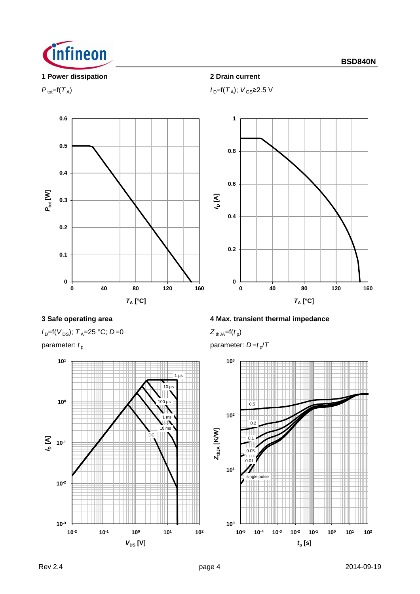

## **1 Power dissipation 2 Drain current**



 $P_{\text{tot}}=f(T_A); V_{\text{GS}}\geq 2.5 \text{ V}$ 



 $I_D=$ f( $V_{DS}$ );  $T_A=$ 25 °C; *D*=0



**3 Safe operating area 4 Max. transient thermal impedance**

 $Z_{thJA} = f(t_p)$ 

parameter:  $t_{\rm p}$  **parameter:** *D=t<sub>p</sub>*/*T* 

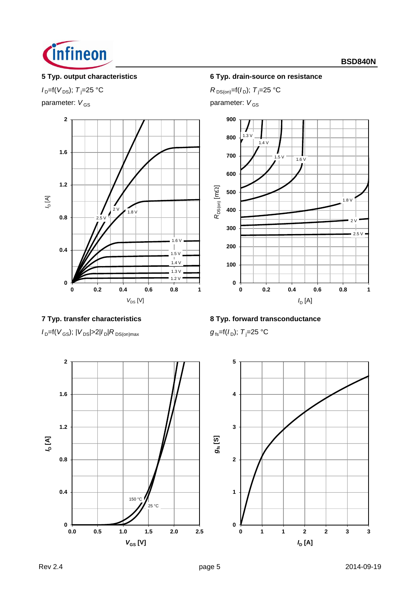

parameter:  $V_{GS}$  parameter:  $V_{GS}$ 



## **5 Typ. output characteristics 6 Typ. drain-source on resistance**

 $I_{D} = f(V_{DS})$ ; *T*<sub>j</sub>=25 °C *R* DS(on)=f(*I*<sub>D</sub>); *T*<sub>j</sub>=25 °C





 $I_{D}$ =f(*V*<sub>GS</sub>); |*V*<sub>DS</sub>|>2|*I*<sub>D</sub>|*R*<sub>DS(on)max *g*<sub>fs</sub>=f(*I*<sub>D</sub>); *T*<sub>j</sub>=25 °C</sub>

# **7 Typ. transfer characteristics 8 Typ. forward transconductance**



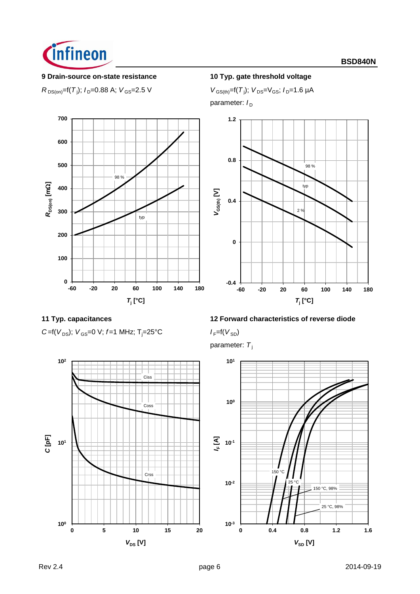

## **9 Drain-source on-state resistance 10 Typ. gate threshold voltage**

 $R_{DS(on)} = f(T_j); I_D = 0.88 \text{ A}; V_{GS} = 2.5 \text{ V}$  *V*  $_{GS(th)} = f(T_j)$ 

 $V_{GS(th)} = f(T_i); V_{DS} = V_{GS}; I_p = 1.6 \mu A$ 

parameter:  $I_D$ 







## **11 Typ. capacitances 12 Forward characteristics of reverse diode**

parameter: T<sub>i</sub>



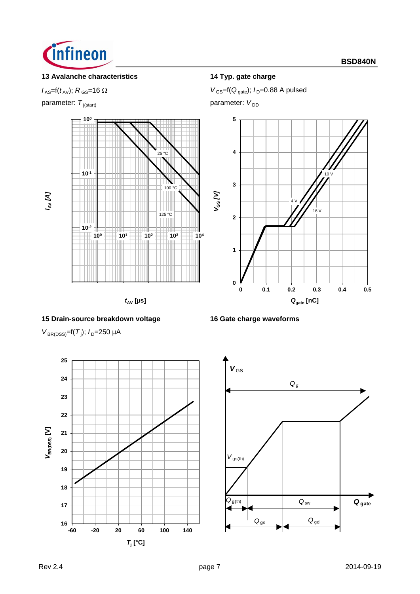

# **13 Avalanche characteristics 14 Typ. gate charge**

parameter:  $T_{j(\text{start})}$  parameter:  $V_{DD}$ 



 $t_{AV}$  [µs]

### **15 Drain-source breakdown voltage 16 Gate charge waveforms**

 $V_{\text{BR(DSS)}} = f(T_j)$ ;  $I_D = 250 \mu A$ 



 $V_{\text{GS}} = f(t_{\text{AV}}); R_{\text{GS}} = 16 \Omega$   $V_{\text{GS}} = f(Q_{\text{gate}}); I_{\text{D}} = 0.88 \text{ A pulsed}$ 





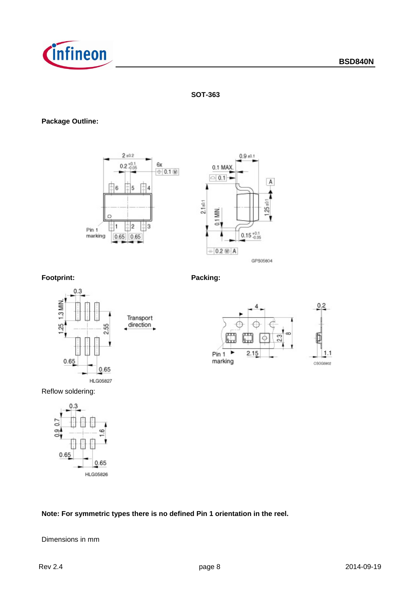

## **SOT-363**

## **Package Outline:**





## **Footprint: Packing:**





Reflow soldering:



## **Note: For symmetric types there is no defined Pin 1 orientation in the reel.**

Dimensions in mm